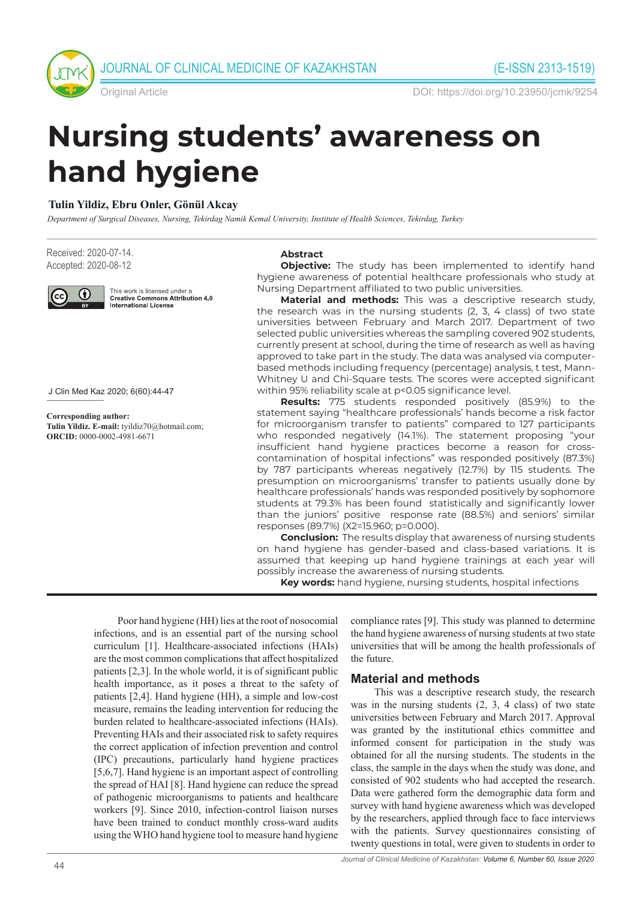

Original Article DOI: https://doi.org/10.23950/jcmk/9254

# **Nursing students' awareness on hand hygiene**

### **Tulin Yildiz, Ebru Onler, Gönül Akcay**

*Department of Surgical Diseases, Nursing, Tekirdag Namik Kemal University, Institute of Health Sciences, Tekirdag, Turkey*

Received: 2020-07-14. Accepted: 2020-08-12



This work is licensed under a<br>Creative Commons Attribution 4.0 **International License** 

J Clin Med Kaz 2020; 6(60):44-47

**Corresponding author: Tulin Yildiz. E-mail:** tyildiz70@hotmail.com; **ORCID:** 0000-0002-4981-6671

#### **Abstract**

**Objective:** The study has been implemented to identify hand hygiene awareness of potential healthcare professionals who study at Nursing Department affiliated to two public universities.

**Material and methods:** This was a descriptive research study, the research was in the nursing students (2, 3, 4 class) of two state universities between February and March 2017. Department of two selected public universities whereas the sampling covered 902 students, currently present at school, during the time of research as well as having approved to take part in the study. The data was analysed via computerbased methods including frequency (percentage) analysis, t test, Mann-Whitney U and Chi-Square tests. The scores were accepted significant within 95% reliability scale at p<0.05 significance level.

**Results:** 775 students responded positively (85.9%) to the statement saying "healthcare professionals' hands become a risk factor for microorganism transfer to patients" compared to 127 participants who responded negatively (14.1%). The statement proposing "your insufficient hand hygiene practices become a reason for crosscontamination of hospital infections" was responded positively (87.3%) by 787 participants whereas negatively (12.7%) by 115 students. The presumption on microorganisms' transfer to patients usually done by healthcare professionals' hands was responded positively by sophomore students at 79.3% has been found statistically and significantly lower than the juniors' positive response rate (88.5%) and seniors' similar responses (89.7%) (X2=15.960; p=0.000).

**Conclusion:** The results display that awareness of nursing students on hand hygiene has gender-based and class-based variations. It is assumed that keeping up hand hygiene trainings at each year will possibly increase the awareness of nursing students.

**Key words:** hand hygiene, nursing students, hospital infections

Poor hand hygiene (HH) lies at the root of nosocomial infections, and is an essential part of the nursing school curriculum [1]. Healthcare-associated infections (HAIs) are the most common complications that affect hospitalized patients [2,3]. In the whole world, it is of significant public health importance, as it poses a threat to the safety of patients [2,4]. Hand hygiene (HH), a simple and low-cost measure, remains the leading intervention for reducing the burden related to healthcare-associated infections (HAIs). Preventing HAIs and their associated risk to safety requires the correct application of infection prevention and control (IPC) precautions, particularly hand hygiene practices [5,6,7]. Hand hygiene is an important aspect of controlling the spread of HAI [8]. Hand hygiene can reduce the spread of pathogenic microorganisms to patients and healthcare workers [9]. Since 2010, infection-control liaison nurses have been trained to conduct monthly cross-ward audits using the WHO hand hygiene tool to measure hand hygiene

compliance rates [9]. This study was planned to determine the hand hygiene awareness of nursing students at two state universities that will be among the health professionals of the future.

#### **Material and methods**

This was a descriptive research study, the research was in the nursing students (2, 3, 4 class) of two state universities between February and March 2017. Approval was granted by the institutional ethics committee and informed consent for participation in the study was obtained for all the nursing students. The students in the class, the sample in the days when the study was done, and consisted of 902 students who had accepted the research. Data were gathered form the demographic data form and survey with hand hygiene awareness which was developed by the researchers, applied through face to face interviews with the patients. Survey questionnaires consisting of twenty questions in total, were given to students in order to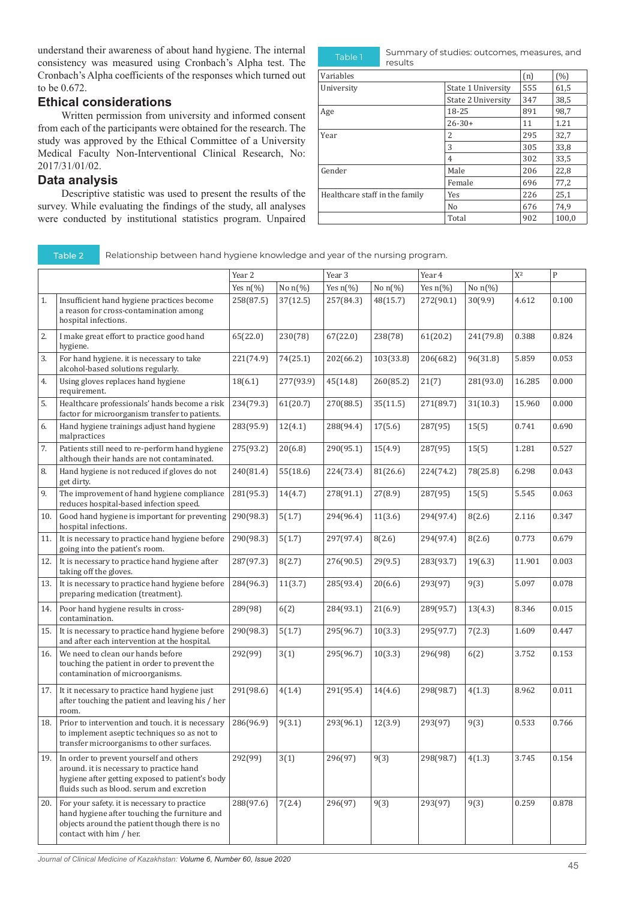understand their awareness of about hand hygiene. The internal consistency was measured using Cronbach's Alpha test. The Cronbach's Alpha coefficients of the responses which turned out to be 0.672.

#### **Ethical considerations**

Written permission from university and informed consent from each of the participants were obtained for the research. The study was approved by the Ethical Committee of a University Medical Faculty Non-Interventional Clinical Research, No: 2017/31/01/02.

#### **Data analysis**

Descriptive statistic was used to present the results of the survey. While evaluating the findings of the study, all analyses were conducted by institutional statistics program. Unpaired

Table 1 Summary of studies: outcomes, measures, and results Variables  $\begin{bmatrix} \text{m} \end{bmatrix}$  (%) University State 1 University 555 61,5<br>State 2 University 347 38,5 State 2 University 347 38,5<br>18-25 891 98,7 Age 18-25 891 98,7  $\begin{array}{|c|c|c|c|}\n \hline\n 26-30+ & & 11 & 1.21 \\
 \hline\n 2 & & 295 & 32.7 \\
 \hline\n \end{array}$ Year 295 32,7  $3 \hspace{1.5cm} |305 \hspace{1.5cm} |33,8$  $\frac{4}{302}$  33,5 Gender Male  $\boxed{\text{Male}}$  206 22,8 Female 696 77,2<br>
Yes 226 25,1 Healthcare staff in the family  $\begin{array}{|l|c|c|c|c|}\n\hline\n\text{Neu} & 226 & 25.1 \\
\hline\n\text{No} & 676 & 74.9 \\
\hline\n\end{array}$ 676

Total 902 100,0

Table 2 Relationship between hand hygiene knowledge and year of the nursing program.

|     |                                                                                                                                                                                     | Year 2      |            | Year 3      |            | Year 4      |            | $\mathrm{X}^2$ | $\mathbf{P}$ |
|-----|-------------------------------------------------------------------------------------------------------------------------------------------------------------------------------------|-------------|------------|-------------|------------|-------------|------------|----------------|--------------|
|     |                                                                                                                                                                                     | Yes $n$ (%) | No $n$ (%) | Yes $n$ (%) | No $n$ (%) | Yes $n$ (%) | No $n$ (%) |                |              |
| 1.  | Insufficient hand hygiene practices become<br>a reason for cross-contamination among<br>hospital infections.                                                                        | 258(87.5)   | 37(12.5)   | 257(84.3)   | 48(15.7)   | 272(90.1)   | 30(9.9)    | 4.612          | 0.100        |
| 2.  | I make great effort to practice good hand<br>hygiene.                                                                                                                               | 65(22.0)    | 230(78)    | 67(22.0)    | 238(78)    | 61(20.2)    | 241(79.8)  | 0.388          | 0.824        |
| 3.  | For hand hygiene. it is necessary to take<br>alcohol-based solutions regularly.                                                                                                     | 221(74.9)   | 74(25.1)   | 202(66.2)   | 103(33.8)  | 206(68.2)   | 96(31.8)   | 5.859          | 0.053        |
| 4.  | Using gloves replaces hand hygiene<br>requirement.                                                                                                                                  | 18(6.1)     | 277(93.9)  | 45(14.8)    | 260(85.2)  | 21(7)       | 281(93.0)  | 16.285         | 0.000        |
| 5.  | Healthcare professionals' hands become a risk<br>factor for microorganism transfer to patients.                                                                                     | 234(79.3)   | 61(20.7)   | 270(88.5)   | 35(11.5)   | 271(89.7)   | 31(10.3)   | 15.960         | 0.000        |
| 6.  | Hand hygiene trainings adjust hand hygiene<br>malpractices                                                                                                                          | 283(95.9)   | 12(4.1)    | 288(94.4)   | 17(5.6)    | 287(95)     | 15(5)      | 0.741          | 0.690        |
| 7.  | Patients still need to re-perform hand hygiene<br>although their hands are not contaminated.                                                                                        | 275(93.2)   | 20(6.8)    | 290(95.1)   | 15(4.9)    | 287(95)     | 15(5)      | 1.281          | 0.527        |
| 8.  | Hand hygiene is not reduced if gloves do not<br>get dirty.                                                                                                                          | 240(81.4)   | 55(18.6)   | 224(73.4)   | 81(26.6)   | 224(74.2)   | 78(25.8)   | 6.298          | 0.043        |
| 9.  | The improvement of hand hygiene compliance<br>reduces hospital-based infection speed.                                                                                               | 281(95.3)   | 14(4.7)    | 278(91.1)   | 27(8.9)    | 287(95)     | 15(5)      | 5.545          | 0.063        |
| 10. | Good hand hygiene is important for preventing<br>hospital infections.                                                                                                               | 290(98.3)   | 5(1.7)     | 294(96.4)   | 11(3.6)    | 294(97.4)   | 8(2.6)     | 2.116          | 0.347        |
| 11. | It is necessary to practice hand hygiene before<br>going into the patient's room.                                                                                                   | 290(98.3)   | 5(1.7)     | 297(97.4)   | 8(2.6)     | 294(97.4)   | 8(2.6)     | 0.773          | 0.679        |
| 12. | It is necessary to practice hand hygiene after<br>taking off the gloves.                                                                                                            | 287(97.3)   | 8(2.7)     | 276(90.5)   | 29(9.5)    | 283(93.7)   | 19(6.3)    | 11.901         | 0.003        |
| 13. | It is necessary to practice hand hygiene before<br>preparing medication (treatment).                                                                                                | 284(96.3)   | 11(3.7)    | 285(93.4)   | 20(6.6)    | 293(97)     | 9(3)       | 5.097          | 0.078        |
| 14. | Poor hand hygiene results in cross-<br>contamination.                                                                                                                               | 289(98)     | 6(2)       | 284(93.1)   | 21(6.9)    | 289(95.7)   | 13(4.3)    | 8.346          | 0.015        |
| 15. | It is necessary to practice hand hygiene before<br>and after each intervention at the hospital.                                                                                     | 290(98.3)   | 5(1.7)     | 295(96.7)   | 10(3.3)    | 295(97.7)   | 7(2.3)     | 1.609          | 0.447        |
| 16. | We need to clean our hands before<br>touching the patient in order to prevent the<br>contamination of microorganisms.                                                               | 292(99)     | 3(1)       | 295(96.7)   | 10(3.3)    | 296(98)     | 6(2)       | 3.752          | 0.153        |
| 17. | It it necessary to practice hand hygiene just<br>after touching the patient and leaving his / her<br>room.                                                                          | 291(98.6)   | 4(1.4)     | 291(95.4)   | 14(4.6)    | 298(98.7)   | 4(1.3)     | 8.962          | 0.011        |
| 18. | Prior to intervention and touch. it is necessary<br>to implement aseptic techniques so as not to<br>transfer microorganisms to other surfaces.                                      | 286(96.9)   | 9(3.1)     | 293(96.1)   | 12(3.9)    | 293(97)     | 9(3)       | 0.533          | 0.766        |
| 19. | In order to prevent yourself and others<br>around. it is necessary to practice hand<br>hygiene after getting exposed to patient's body<br>fluids such as blood. serum and excretion | 292(99)     | 3(1)       | 296(97)     | 9(3)       | 298(98.7)   | 4(1.3)     | 3.745          | 0.154        |
| 20. | For your safety. it is necessary to practice<br>hand hygiene after touching the furniture and<br>objects around the patient though there is no<br>contact with him / her.           | 288(97.6)   | 7(2.4)     | 296(97)     | 9(3)       | 293(97)     | 9(3)       | 0.259          | 0.878        |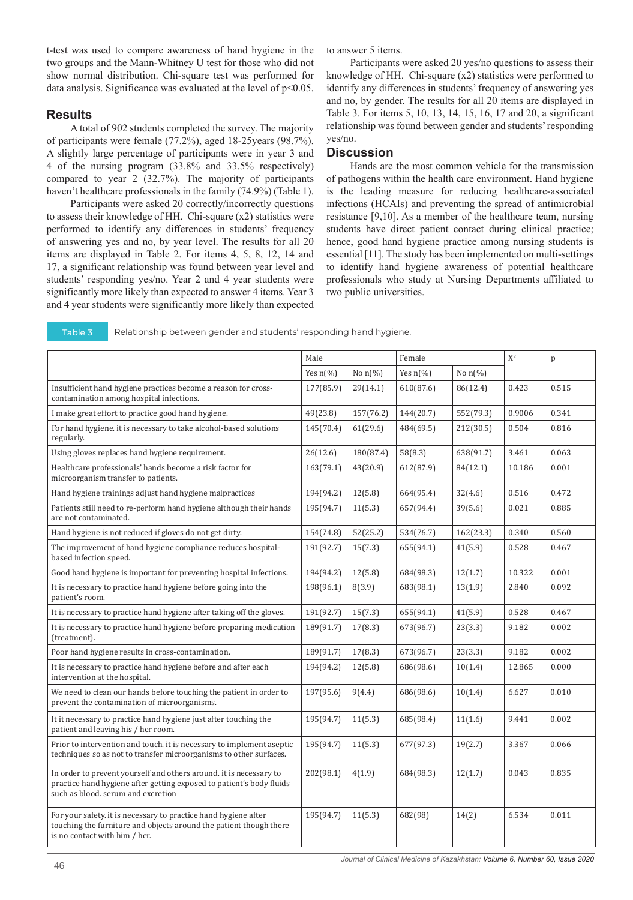t-test was used to compare awareness of hand hygiene in the two groups and the Mann-Whitney U test for those who did not show normal distribution. Chi-square test was performed for data analysis. Significance was evaluated at the level of  $p<0.05$ .

## **Results**

A total of 902 students completed the survey. The majority of participants were female (77.2%), aged 18-25years (98.7%). A slightly large percentage of participants were in year 3 and 4 of the nursing program (33.8% and 33.5% respectively) compared to year 2 (32.7%). The majority of participants haven't healthcare professionals in the family (74.9%) (Table 1).

Participants were asked 20 correctly/incorrectly questions to assess their knowledge of HH. Chi-square (x2) statistics were performed to identify any differences in students' frequency of answering yes and no, by year level. The results for all 20 items are displayed in Table 2. For items 4, 5, 8, 12, 14 and 17, a significant relationship was found between year level and students' responding yes/no. Year 2 and 4 year students were significantly more likely than expected to answer 4 items. Year 3 and 4 year students were significantly more likely than expected to answer 5 items.

Participants were asked 20 yes/no questions to assess their knowledge of HH. Chi-square (x2) statistics were performed to identify any differences in students' frequency of answering yes and no, by gender. The results for all 20 items are displayed in Table 3. For items 5, 10, 13, 14, 15, 16, 17 and 20, a significant relationship was found between gender and students' responding yes/no.

# **Discussion**

Hands are the most common vehicle for the transmission of pathogens within the health care environment. Hand hygiene is the leading measure for reducing healthcare-associated infections (HCAIs) and preventing the spread of antimicrobial resistance [9,10]. As a member of the healthcare team, nursing students have direct patient contact during clinical practice; hence, good hand hygiene practice among nursing students is essential [11]. The study has been implemented on multi-settings to identify hand hygiene awareness of potential healthcare professionals who study at Nursing Departments affiliated to two public universities.

Table 3 Relationship between gender and students' responding hand hygiene.

|                                                                                                                                                                                  | Male      |                       | Female             |                       | $X^2$  | p     |
|----------------------------------------------------------------------------------------------------------------------------------------------------------------------------------|-----------|-----------------------|--------------------|-----------------------|--------|-------|
|                                                                                                                                                                                  |           | No $n\left(\%\right)$ | Yes $n\frac{1}{6}$ | No $n\left(\%\right)$ |        |       |
| Insufficient hand hygiene practices become a reason for cross-<br>contamination among hospital infections.                                                                       |           | 29(14.1)              | 610(87.6)          | 86(12.4)              | 0.423  | 0.515 |
| I make great effort to practice good hand hygiene.                                                                                                                               |           | 157(76.2)             | 144(20.7)          | 552(79.3)             | 0.9006 | 0.341 |
| For hand hygiene. it is necessary to take alcohol-based solutions<br>regularly.                                                                                                  | 145(70.4) | 61(29.6)              | 484(69.5)          | 212(30.5)             | 0.504  | 0.816 |
| Using gloves replaces hand hygiene requirement.                                                                                                                                  | 26(12.6)  | 180(87.4)             | 58(8.3)            | 638(91.7)             | 3.461  | 0.063 |
| Healthcare professionals' hands become a risk factor for<br>microorganism transfer to patients.                                                                                  |           | 43(20.9)              | 612(87.9)          | 84(12.1)              | 10.186 | 0.001 |
| Hand hygiene trainings adjust hand hygiene malpractices                                                                                                                          |           | 12(5.8)               | 664(95.4)          | 32(4.6)               | 0.516  | 0.472 |
| Patients still need to re-perform hand hygiene although their hands<br>are not contaminated.                                                                                     |           | 11(5.3)               | 657(94.4)          | 39(5.6)               | 0.021  | 0.885 |
| Hand hygiene is not reduced if gloves do not get dirty.                                                                                                                          | 154(74.8) | 52(25.2)              | 534(76.7)          | 162(23.3)             | 0.340  | 0.560 |
| The improvement of hand hygiene compliance reduces hospital-<br>based infection speed.                                                                                           | 191(92.7) | 15(7.3)               | 655(94.1)          | 41(5.9)               | 0.528  | 0.467 |
| Good hand hygiene is important for preventing hospital infections.                                                                                                               | 194(94.2) | 12(5.8)               | 684(98.3)          | 12(1.7)               | 10.322 | 0.001 |
| It is necessary to practice hand hygiene before going into the<br>patient's room.                                                                                                | 198(96.1) | 8(3.9)                | 683(98.1)          | 13(1.9)               | 2.840  | 0.092 |
| It is necessary to practice hand hygiene after taking off the gloves.                                                                                                            | 191(92.7) | 15(7.3)               | 655(94.1)          | 41(5.9)               | 0.528  | 0.467 |
| It is necessary to practice hand hygiene before preparing medication<br>(treatment).                                                                                             |           | 17(8.3)               | 673(96.7)          | 23(3.3)               | 9.182  | 0.002 |
| Poor hand hygiene results in cross-contamination.                                                                                                                                | 189(91.7) | 17(8.3)               | 673(96.7)          | 23(3.3)               | 9.182  | 0.002 |
| It is necessary to practice hand hygiene before and after each<br>intervention at the hospital.                                                                                  |           | 12(5.8)               | 686(98.6)          | 10(1.4)               | 12.865 | 0.000 |
| We need to clean our hands before touching the patient in order to<br>prevent the contamination of microorganisms.                                                               | 197(95.6) | 9(4.4)                | 686(98.6)          | 10(1.4)               | 6.627  | 0.010 |
| It it necessary to practice hand hygiene just after touching the<br>patient and leaving his / her room.                                                                          | 195(94.7) | 11(5.3)               | 685(98.4)          | 11(1.6)               | 9.441  | 0.002 |
| Prior to intervention and touch, it is necessary to implement aseptic<br>techniques so as not to transfer microorganisms to other surfaces.                                      |           | 11(5.3)               | 677(97.3)          | 19(2.7)               | 3.367  | 0.066 |
| In order to prevent yourself and others around. it is necessary to<br>practice hand hygiene after getting exposed to patient's body fluids<br>such as blood, serum and excretion |           | 4(1.9)                | 684(98.3)          | 12(1.7)               | 0.043  | 0.835 |
| For your safety. it is necessary to practice hand hygiene after<br>touching the furniture and objects around the patient though there<br>is no contact with him / her.           |           | 11(5.3)               | 682(98)            | 14(2)                 | 6.534  | 0.011 |